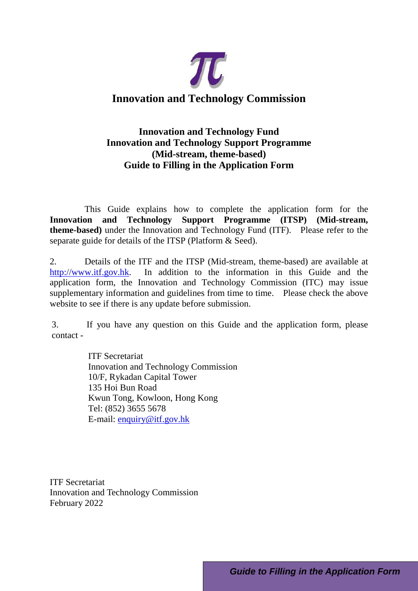

### **Innovation and Technology Fund Innovation and Technology Support Programme (Mid-stream, theme-based) Guide to Filling in the Application Form**

This Guide explains how to complete the application form for the **Innovation and Technology Support Programme (ITSP) (Mid-stream, theme-based)** under the Innovation and Technology Fund (ITF). Please refer to the separate guide for details of the ITSP (Platform & Seed).

2. Details of the ITF and the ITSP (Mid-stream, theme-based) are available at [http://www.itf.gov.hk.](http://www.itf.gov.hk/) In addition to the information in this Guide and the application form, the Innovation and Technology Commission (ITC) may issue supplementary information and guidelines from time to time. Please check the above website to see if there is any update before submission.

3. If you have any question on this Guide and the application form, please contact -

> ITF Secretariat Innovation and Technology Commission 10/F, Rykadan Capital Tower 135 Hoi Bun Road Kwun Tong, Kowloon, Hong Kong Tel: (852) 3655 5678 E-mail: [enquiry@itf.gov.hk](mailto:enquiry@itf.gov.hk)

ITF Secretariat Innovation and Technology Commission February 2022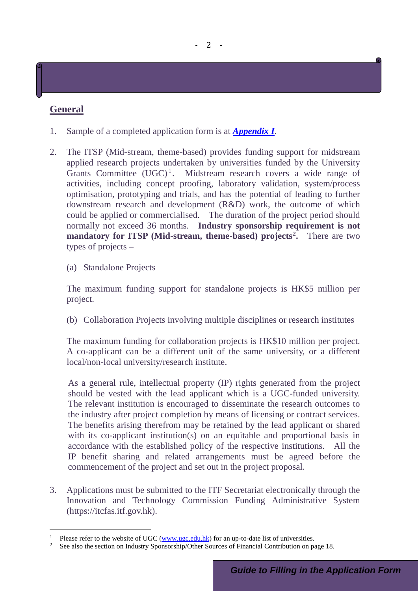## **General**

- 1. Sample of a completed application form is at *Appendix I*.
- 2. The ITSP (Mid-stream, theme-based) provides funding support for midstream applied research projects undertaken by universities funded by the University Grants Committee (UGC)<sup>[1](#page-1-0)</sup>. Midstream research covers a wide range of activities, including concept proofing, laboratory validation, system/process optimisation, prototyping and trials, and has the potential of leading to further downstream research and development (R&D) work, the outcome of which could be applied or commercialised. The duration of the project period should normally not exceed 36 months. **Industry sponsorship requirement is not mandatory for ITSP (Mid-stream, theme-based) projects[2](#page-1-1) .** There are two types of projects –
	- (a) Standalone Projects

The maximum funding support for standalone projects is HK\$5 million per project.

(b) Collaboration Projects involving multiple disciplines or research institutes

The maximum funding for collaboration projects is HK\$10 million per project. A co-applicant can be a different unit of the same university, or a different local/non-local university/research institute.

As a general rule, intellectual property (IP) rights generated from the project should be vested with the lead applicant which is a UGC-funded university. The relevant institution is encouraged to disseminate the research outcomes to the industry after project completion by means of licensing or contract services. The benefits arising therefrom may be retained by the lead applicant or shared with its co-applicant institution(s) on an equitable and proportional basis in accordance with the established policy of the respective institutions. All the IP benefit sharing and related arrangements must be agreed before the commencement of the project and set out in the project proposal.

3. Applications must be submitted to the ITF Secretariat electronically through the Innovation and Technology Commission Funding Administrative System (https://itcfas.itf.gov.hk).

<span id="page-1-1"></span><span id="page-1-0"></span><sup>&</sup>lt;sup>1</sup> Please refer to the website of UGC [\(www.ugc.edu.hk\)](http://www.ugc.edu.hk/) for an up-to-date list of universities.<br><sup>2</sup> See also the section on Industry Sponsorship/Other Sources of Einancial Contribution on n

<sup>2</sup> See also the section on Industry Sponsorship/Other Sources of Financial Contribution on page 18.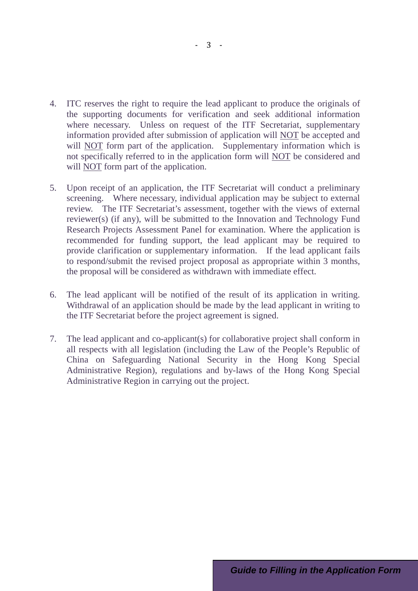- 4. ITC reserves the right to require the lead applicant to produce the originals of the supporting documents for verification and seek additional information where necessary. Unless on request of the ITF Secretariat, supplementary information provided after submission of application will NOT be accepted and will NOT form part of the application. Supplementary information which is not specifically referred to in the application form will NOT be considered and will NOT form part of the application.
- 5. Upon receipt of an application, the ITF Secretariat will conduct a preliminary screening. Where necessary, individual application may be subject to external review. The ITF Secretariat's assessment, together with the views of external reviewer(s) (if any), will be submitted to the Innovation and Technology Fund Research Projects Assessment Panel for examination. Where the application is recommended for funding support, the lead applicant may be required to provide clarification or supplementary information. If the lead applicant fails to respond/submit the revised project proposal as appropriate within 3 months, the proposal will be considered as withdrawn with immediate effect.
- 6. The lead applicant will be notified of the result of its application in writing. Withdrawal of an application should be made by the lead applicant in writing to the ITF Secretariat before the project agreement is signed.
- 7. The lead applicant and co-applicant(s) for collaborative project shall conform in all respects with all legislation (including the Law of the People's Republic of China on Safeguarding National Security in the Hong Kong Special Administrative Region), regulations and by-laws of the Hong Kong Special Administrative Region in carrying out the project.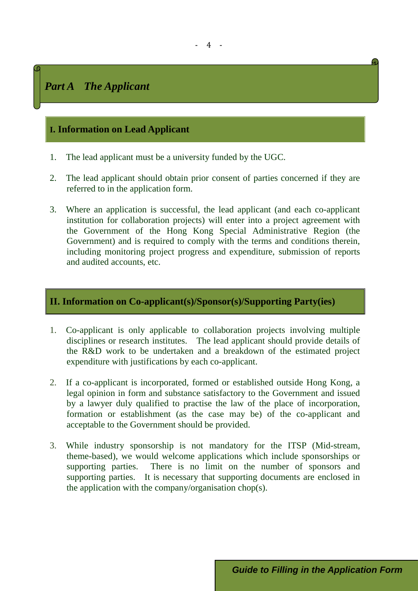# *Part A The Applicant*

### **I. Information on Lead Applicant**

- 1. The lead applicant must be a university funded by the UGC.
- 2. The lead applicant should obtain prior consent of parties concerned if they are referred to in the application form.
- 3. Where an application is successful, the lead applicant (and each co-applicant institution for collaboration projects) will enter into a project agreement with the Government of the Hong Kong Special Administrative Region (the Government) and is required to comply with the terms and conditions therein, including monitoring project progress and expenditure, submission of reports and audited accounts, etc.

### **II. Information on Co-applicant(s)/Sponsor(s)/Supporting Party(ies)**

- 1. Co-applicant is only applicable to collaboration projects involving multiple disciplines or research institutes. The lead applicant should provide details of the R&D work to be undertaken and a breakdown of the estimated project expenditure with justifications by each co-applicant.
- 2. If a co-applicant is incorporated, formed or established outside Hong Kong, a legal opinion in form and substance satisfactory to the Government and issued by a lawyer duly qualified to practise the law of the place of incorporation, formation or establishment (as the case may be) of the co-applicant and acceptable to the Government should be provided.
- 3. While industry sponsorship is not mandatory for the ITSP (Mid-stream, theme-based), we would welcome applications which include sponsorships or supporting parties. There is no limit on the number of sponsors and supporting parties. It is necessary that supporting documents are enclosed in the application with the company/organisation chop(s).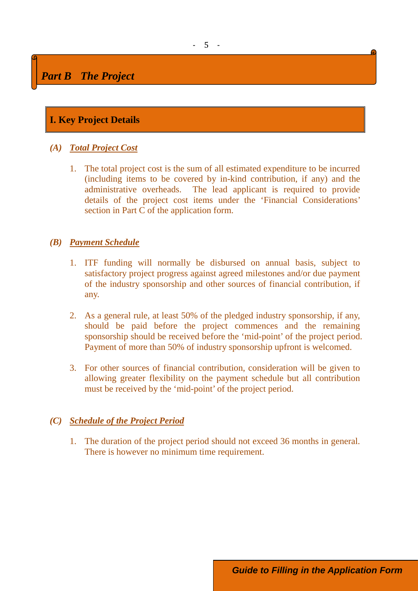# *Part B The Project*

## **I. Key Project Details**

### *(A) Total Project Cost*

1. The total project cost is the sum of all estimated expenditure to be incurred (including items to be covered by in-kind contribution, if any) and the administrative overheads. The lead applicant is required to provide details of the project cost items under the 'Financial Considerations' section in Part C of the application form.

### *(B) Payment Schedule*

- 1. ITF funding will normally be disbursed on annual basis, subject to satisfactory project progress against agreed milestones and/or due payment of the industry sponsorship and other sources of financial contribution, if any.
- 2. As a general rule, at least 50% of the pledged industry sponsorship, if any, should be paid before the project commences and the remaining sponsorship should be received before the 'mid-point' of the project period. Payment of more than 50% of industry sponsorship upfront is welcomed.
- 3. For other sources of financial contribution, consideration will be given to allowing greater flexibility on the payment schedule but all contribution must be received by the 'mid-point' of the project period.

### *(C) Schedule of the Project Period*

1. The duration of the project period should not exceed 36 months in general. There is however no minimum time requirement.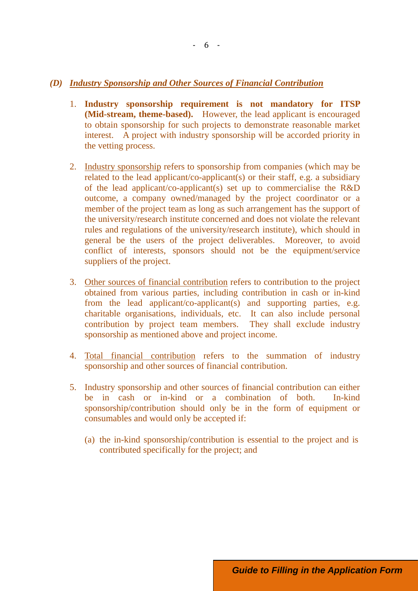#### *(D) Industry Sponsorship and Other Sources of Financial Contribution*

- 1. **Industry sponsorship requirement is not mandatory for ITSP (Mid-stream, theme-based).** However, the lead applicant is encouraged to obtain sponsorship for such projects to demonstrate reasonable market interest. A project with industry sponsorship will be accorded priority in the vetting process.
- 2. Industry sponsorship refers to sponsorship from companies (which may be related to the lead applicant/co-applicant(s) or their staff, e.g. a subsidiary of the lead applicant/co-applicant(s) set up to commercialise the R&D outcome, a company owned/managed by the project coordinator or a member of the project team as long as such arrangement has the support of the university/research institute concerned and does not violate the relevant rules and regulations of the university/research institute), which should in general be the users of the project deliverables. Moreover, to avoid conflict of interests, sponsors should not be the equipment/service suppliers of the project.
- 3. Other sources of financial contribution refers to contribution to the project obtained from various parties, including contribution in cash or in-kind from the lead applicant/co-applicant(s) and supporting parties, e.g. charitable organisations, individuals, etc. It can also include personal contribution by project team members. They shall exclude industry sponsorship as mentioned above and project income.
- 4. Total financial contribution refers to the summation of industry sponsorship and other sources of financial contribution.
- 5. Industry sponsorship and other sources of financial contribution can either be in cash or in-kind or a combination of both. In-kind sponsorship/contribution should only be in the form of equipment or consumables and would only be accepted if:
	- (a) the in-kind sponsorship/contribution is essential to the project and is contributed specifically for the project; and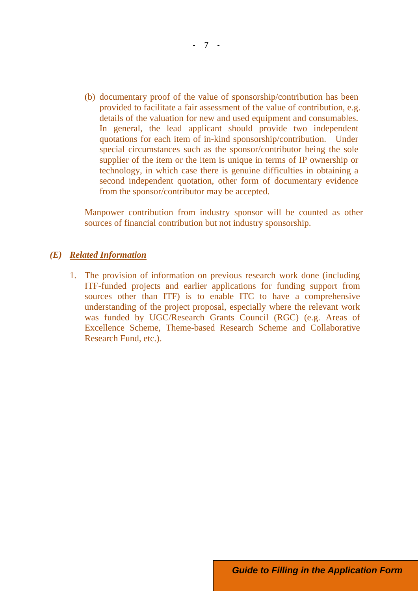(b) documentary proof of the value of sponsorship/contribution has been provided to facilitate a fair assessment of the value of contribution, e.g. details of the valuation for new and used equipment and consumables. In general, the lead applicant should provide two independent quotations for each item of in-kind sponsorship/contribution. Under special circumstances such as the sponsor/contributor being the sole supplier of the item or the item is unique in terms of IP ownership or technology, in which case there is genuine difficulties in obtaining a second independent quotation, other form of documentary evidence from the sponsor/contributor may be accepted.

Manpower contribution from industry sponsor will be counted as other sources of financial contribution but not industry sponsorship.

#### *(E) Related Information*

1. The provision of information on previous research work done (including ITF-funded projects and earlier applications for funding support from sources other than ITF) is to enable ITC to have a comprehensive understanding of the project proposal, especially where the relevant work was funded by UGC/Research Grants Council (RGC) (e.g. Areas of Excellence Scheme, Theme-based Research Scheme and Collaborative Research Fund, etc.).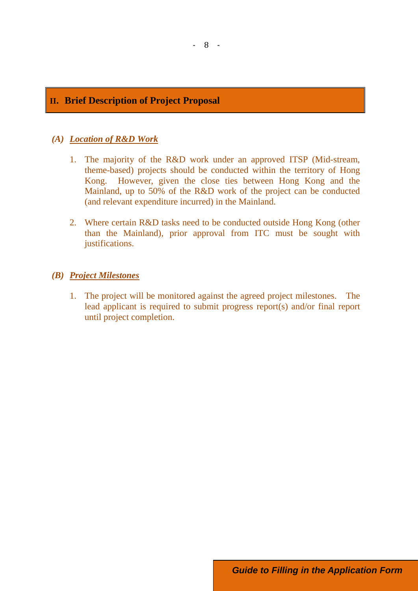### **II. Brief Description of Project Proposal**

#### *(A) Location of R&D Work*

- 1. The majority of the R&D work under an approved ITSP (Mid-stream, theme-based) projects should be conducted within the territory of Hong Kong. However, given the close ties between Hong Kong and the Mainland, up to 50% of the R&D work of the project can be conducted (and relevant expenditure incurred) in the Mainland.
- 2. Where certain R&D tasks need to be conducted outside Hong Kong (other than the Mainland), prior approval from ITC must be sought with justifications.

#### *(B) Project Milestones*

1. The project will be monitored against the agreed project milestones. The lead applicant is required to submit progress report(s) and/or final report until project completion.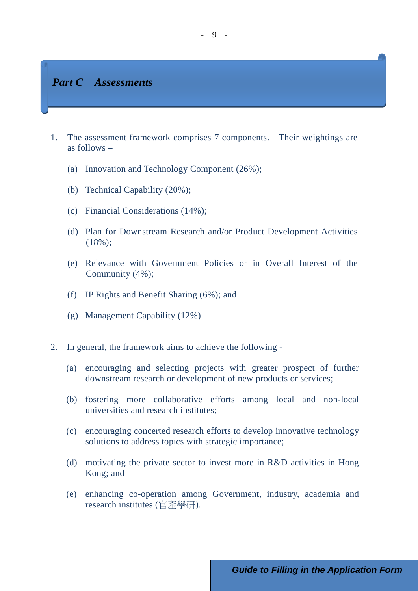### *Part C Assessments*

- 1. The assessment framework comprises 7 components. Their weightings are as follows –
	- (a) Innovation and Technology Component (26%);
	- (b) Technical Capability (20%);
	- (c) Financial Considerations (14%);
	- (d) Plan for Downstream Research and/or Product Development Activities (18%);
	- (e) Relevance with Government Policies or in Overall Interest of the Community (4%);
	- (f) IP Rights and Benefit Sharing (6%); and
	- (g) Management Capability (12%).
- 2. In general, the framework aims to achieve the following
	- (a) encouraging and selecting projects with greater prospect of further downstream research or development of new products or services;
	- (b) fostering more collaborative efforts among local and non-local universities and research institutes;
	- (c) encouraging concerted research efforts to develop innovative technology solutions to address topics with strategic importance;
	- (d) motivating the private sector to invest more in R&D activities in Hong Kong; and
	- (e) enhancing co-operation among Government, industry, academia and research institutes (官產學研).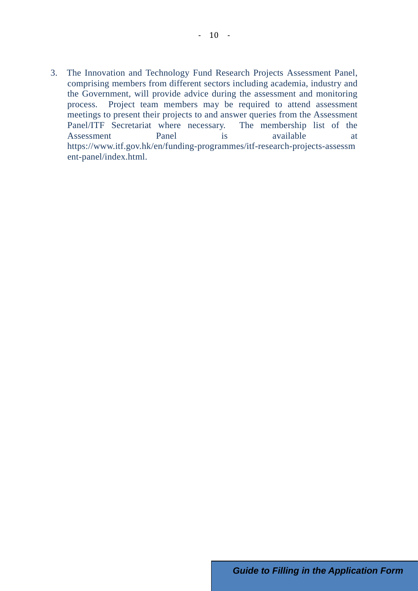3. The Innovation and Technology Fund Research Projects Assessment Panel, comprising members from different sectors including academia, industry and the Government, will provide advice during the assessment and monitoring process. Project team members may be required to attend assessment meetings to present their projects to and answer queries from the Assessment Panel/ITF Secretariat where necessary. The membership list of the Assessment Panel is available at https://www.itf.gov.hk/en/funding-programmes/itf-research-projects-assessm ent-panel/index.html.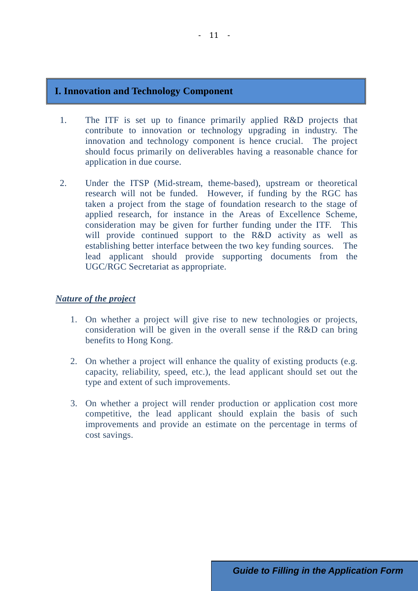### **I. Innovation and Technology Component**

- 1. The ITF is set up to finance primarily applied R&D projects that contribute to innovation or technology upgrading in industry. The innovation and technology component is hence crucial. The project should focus primarily on deliverables having a reasonable chance for application in due course.
- 2. Under the ITSP (Mid-stream, theme-based), upstream or theoretical research will not be funded. However, if funding by the RGC has taken a project from the stage of foundation research to the stage of applied research, for instance in the Areas of Excellence Scheme, consideration may be given for further funding under the ITF. This will provide continued support to the R&D activity as well as establishing better interface between the two key funding sources. The lead applicant should provide supporting documents from the UGC/RGC Secretariat as appropriate.

#### *Nature of the project*

- 1. On whether a project will give rise to new technologies or projects, consideration will be given in the overall sense if the R&D can bring benefits to Hong Kong.
- 2. On whether a project will enhance the quality of existing products (e.g. capacity, reliability, speed, etc.), the lead applicant should set out the type and extent of such improvements.
- 3. On whether a project will render production or application cost more competitive, the lead applicant should explain the basis of such improvements and provide an estimate on the percentage in terms of cost savings.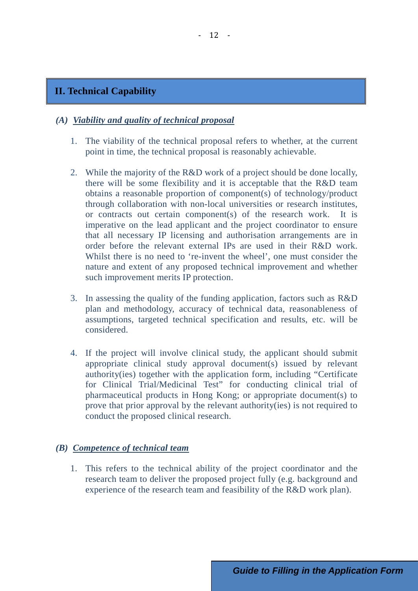### **II. Technical Capability**

#### *(A) Viability and quality of technical proposal*

- 1. The viability of the technical proposal refers to whether, at the current point in time, the technical proposal is reasonably achievable.
- 2. While the majority of the R&D work of a project should be done locally, there will be some flexibility and it is acceptable that the R&D team obtains a reasonable proportion of component(s) of technology/product through collaboration with non-local universities or research institutes, or contracts out certain component(s) of the research work. imperative on the lead applicant and the project coordinator to ensure that all necessary IP licensing and authorisation arrangements are in order before the relevant external IPs are used in their R&D work. Whilst there is no need to 're-invent the wheel', one must consider the nature and extent of any proposed technical improvement and whether such improvement merits IP protection.
- 3. In assessing the quality of the funding application, factors such as R&D plan and methodology, accuracy of technical data, reasonableness of assumptions, targeted technical specification and results, etc. will be considered.
- 4. If the project will involve clinical study, the applicant should submit appropriate clinical study approval document(s) issued by relevant authority(ies) together with the application form, including "Certificate for Clinical Trial/Medicinal Test" for conducting clinical trial of pharmaceutical products in Hong Kong; or appropriate document(s) to prove that prior approval by the relevant authority(ies) is not required to conduct the proposed clinical research.

#### *(B) Competence of technical team*

1. This refers to the technical ability of the project coordinator and the research team to deliver the proposed project fully (e.g. background and experience of the research team and feasibility of the R&D work plan).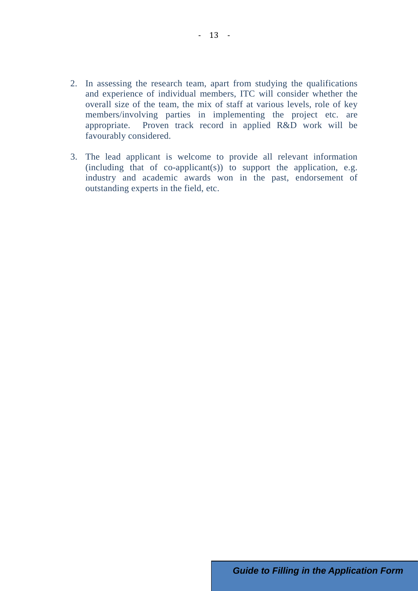- 2. In assessing the research team, apart from studying the qualifications and experience of individual members, ITC will consider whether the overall size of the team, the mix of staff at various levels, role of key members/involving parties in implementing the project etc. are appropriate. Proven track record in applied R&D work will be favourably considered.
- 3. The lead applicant is welcome to provide all relevant information  $(including that of co-application(s))$  to support the application, e.g. industry and academic awards won in the past, endorsement of outstanding experts in the field, etc.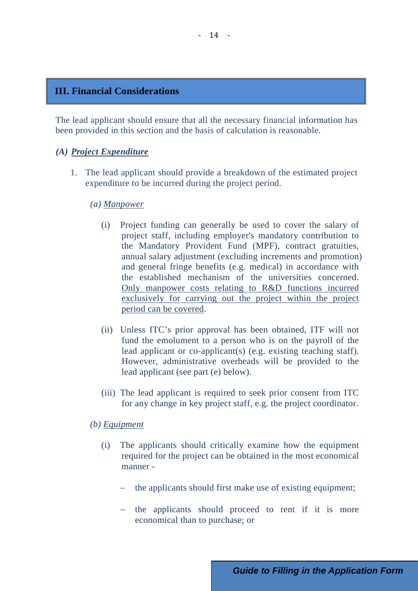#### **III. Financial Considerations**

The lead applicant should ensure that all the necessary financial information has been provided in this section and the basis of calculation is reasonable.

#### *(A) Project Expenditure*

1. The lead applicant should provide a breakdown of the estimated project expenditure to be incurred during the project period.

#### *(a) Manpower*

- (i) Project funding can generally be used to cover the salary of project staff, including employer's mandatory contribution to the Mandatory Provident Fund (MPF), contract gratuities, annual salary adjustment (excluding increments and promotion) and general fringe benefits (e.g. medical) in accordance with the established mechanism of the universities concerned. Only manpower costs relating to R&D functions incurred exclusively for carrying out the project within the project period can be covered.
- (ii) Unless ITC's prior approval has been obtained, ITF will not fund the emolument to a person who is on the payroll of the lead applicant or co-applicant(s) (e.g. existing teaching staff). However, administrative overheads will be provided to the lead applicant (see part (e) below).
- (iii) The lead applicant is required to seek prior consent from ITC for any change in key project staff, e.g. the project coordinator.

*(b) Equipment*

- (i) The applicants should critically examine how the equipment required for the project can be obtained in the most economical manner
	- the applicants should first make use of existing equipment;
	- the applicants should proceed to rent if it is more economical than to purchase; or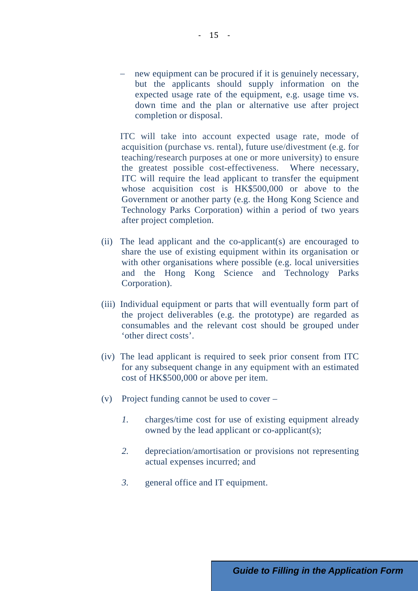− new equipment can be procured if it is genuinely necessary, but the applicants should supply information on the expected usage rate of the equipment, e.g. usage time vs. down time and the plan or alternative use after project completion or disposal.

ITC will take into account expected usage rate, mode of acquisition (purchase vs. rental), future use/divestment (e.g. for teaching/research purposes at one or more university) to ensure the greatest possible cost-effectiveness. Where necessary, ITC will require the lead applicant to transfer the equipment whose acquisition cost is HK\$500,000 or above to the Government or another party (e.g. the Hong Kong Science and Technology Parks Corporation) within a period of two years after project completion.

- (ii) The lead applicant and the co-applicant(s) are encouraged to share the use of existing equipment within its organisation or with other organisations where possible (e.g. local universities and the Hong Kong Science and Technology Parks Corporation).
- (iii) Individual equipment or parts that will eventually form part of the project deliverables (e.g. the prototype) are regarded as consumables and the relevant cost should be grouped under 'other direct costs'.
- (iv) The lead applicant is required to seek prior consent from ITC for any subsequent change in any equipment with an estimated cost of HK\$500,000 or above per item.
- (v) Project funding cannot be used to cover
	- *1.* charges/time cost for use of existing equipment already owned by the lead applicant or co-applicant(s);
	- *2.* depreciation/amortisation or provisions not representing actual expenses incurred; and
	- *3.* general office and IT equipment.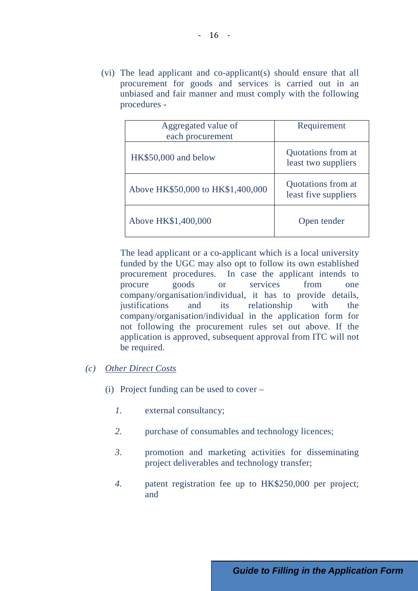(vi) The lead applicant and co-applicant(s) should ensure that all procurement for goods and services is carried out in an unbiased and fair manner and must comply with the following procedures -

| Aggregated value of<br>each procurement | Requirement                                |
|-----------------------------------------|--------------------------------------------|
| HK\$50,000 and below                    | Quotations from at<br>least two suppliers  |
| Above HK\$50,000 to HK\$1,400,000       | Quotations from at<br>least five suppliers |
| Above HK\$1,400,000                     | Open tender                                |

The lead applicant or a co-applicant which is a local university funded by the UGC may also opt to follow its own established procurement procedures. In case the applicant intends to procure goods or services from one company/organisation/individual, it has to provide details, justifications and its relationship with the company/organisation/individual in the application form for not following the procurement rules set out above. If the application is approved, subsequent approval from ITC will not be required.

### *(c) Other Direct Costs*

- (i) Project funding can be used to cover
	- *1.* external consultancy;
	- 2. purchase of consumables and technology licences;
	- *3.* promotion and marketing activities for disseminating project deliverables and technology transfer;
	- *4.* patent registration fee up to HK\$250,000 per project; and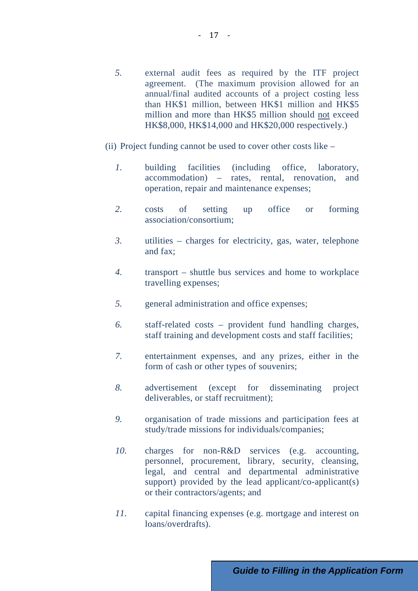- *5.* external audit fees as required by the ITF project agreement. (The maximum provision allowed for an annual/final audited accounts of a project costing less than HK\$1 million, between HK\$1 million and HK\$5 million and more than HK\$5 million should not exceed HK\$8,000, HK\$14,000 and HK\$20,000 respectively.)
- (ii) Project funding cannot be used to cover other costs like
	- *1.* building facilities (including office, laboratory, accommodation) – rates, rental, renovation, and operation, repair and maintenance expenses;
	- *2.* costs of setting up office or forming association/consortium;
	- *3.* utilities charges for electricity, gas, water, telephone and fax;
	- *4.* transport shuttle bus services and home to workplace travelling expenses;
	- *5.* general administration and office expenses;
	- *6.* staff-related costs provident fund handling charges, staff training and development costs and staff facilities;
	- *7.* entertainment expenses, and any prizes, either in the form of cash or other types of souvenirs;
	- *8.* advertisement (except for disseminating project deliverables, or staff recruitment);
	- *9.* organisation of trade missions and participation fees at study/trade missions for individuals/companies;
	- *10.* charges for non-R&D services (e.g. accounting, personnel, procurement, library, security, cleansing, legal, and central and departmental administrative support) provided by the lead applicant/ $\cos$ -applicant(s) or their contractors/agents; and
	- *11.* capital financing expenses (e.g. mortgage and interest on loans/overdrafts).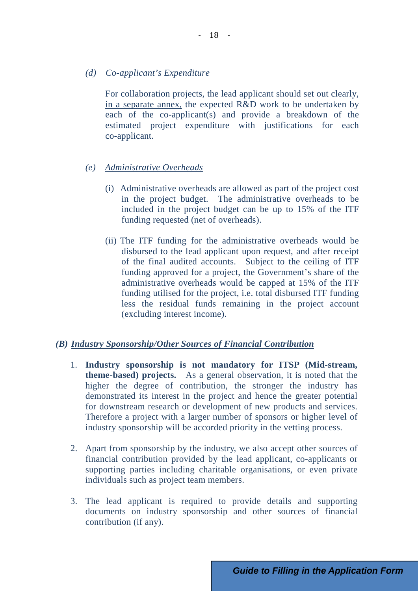*(d) Co-applicant's Expenditure*

For collaboration projects, the lead applicant should set out clearly, in a separate annex, the expected R&D work to be undertaken by each of the co-applicant(s) and provide a breakdown of the estimated project expenditure with justifications for each co-applicant.

- *(e) Administrative Overheads*
	- (i) Administrative overheads are allowed as part of the project cost in the project budget. The administrative overheads to be included in the project budget can be up to 15% of the ITF funding requested (net of overheads).
	- (ii) The ITF funding for the administrative overheads would be disbursed to the lead applicant upon request, and after receipt of the final audited accounts. Subject to the ceiling of ITF funding approved for a project, the Government's share of the administrative overheads would be capped at 15% of the ITF funding utilised for the project, i.e. total disbursed ITF funding less the residual funds remaining in the project account (excluding interest income).

#### *(B) Industry Sponsorship/Other Sources of Financial Contribution*

- 1. **Industry sponsorship is not mandatory for ITSP (Mid-stream, theme-based) projects.** As a general observation, it is noted that the higher the degree of contribution, the stronger the industry has demonstrated its interest in the project and hence the greater potential for downstream research or development of new products and services. Therefore a project with a larger number of sponsors or higher level of industry sponsorship will be accorded priority in the vetting process.
- 2. Apart from sponsorship by the industry, we also accept other sources of financial contribution provided by the lead applicant, co-applicants or supporting parties including charitable organisations, or even private individuals such as project team members.
- 3. The lead applicant is required to provide details and supporting documents on industry sponsorship and other sources of financial contribution (if any).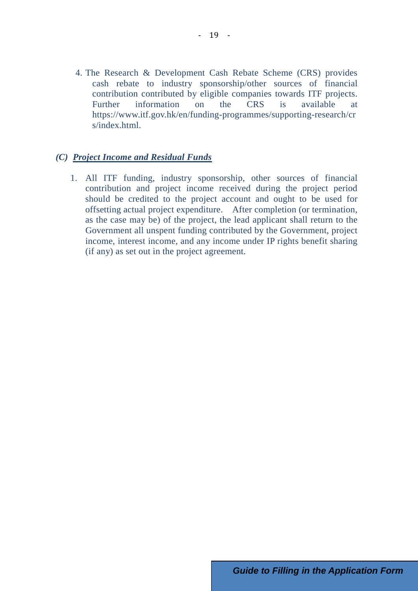4. The Research & Development Cash Rebate Scheme (CRS) provides cash rebate to industry sponsorship/other sources of financial contribution contributed by eligible companies towards ITF projects. Further information on the  $CRS$  is available https://www.itf.gov.hk/en/funding-programmes/supporting-research/cr s/index.html.

#### *(C) Project Income and Residual Funds*

1. All ITF funding, industry sponsorship, other sources of financial contribution and project income received during the project period should be credited to the project account and ought to be used for offsetting actual project expenditure. After completion (or termination, as the case may be) of the project, the lead applicant shall return to the Government all unspent funding contributed by the Government, project income, interest income, and any income under IP rights benefit sharing (if any) as set out in the project agreement.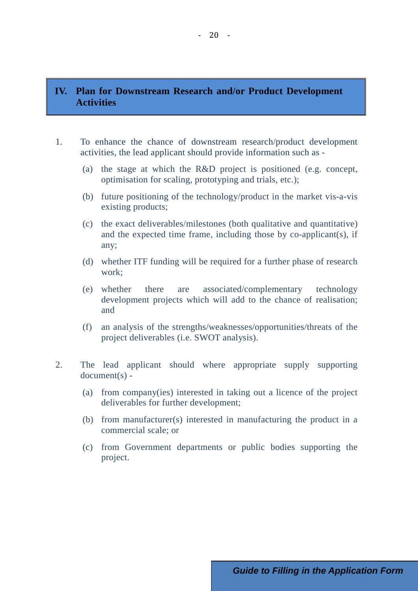### **IV. Plan for Downstream Research and/or Product Development Activities**

- 1. To enhance the chance of downstream research/product development activities, the lead applicant should provide information such as -
	- (a) the stage at which the R&D project is positioned (e.g. concept, optimisation for scaling, prototyping and trials, etc.);
	- (b) future positioning of the technology/product in the market vis-a-vis existing products;
	- (c) the exact deliverables/milestones (both qualitative and quantitative) and the expected time frame, including those by co-applicant(s), if any;
	- (d) whether ITF funding will be required for a further phase of research work;
	- (e) whether there are associated/complementary technology development projects which will add to the chance of realisation; and
	- (f) an analysis of the strengths/weaknesses/opportunities/threats of the project deliverables (i.e. SWOT analysis).
- 2. The lead applicant should where appropriate supply supporting document(s) -
	- (a) from company(ies) interested in taking out a licence of the project deliverables for further development;
	- (b) from manufacturer(s) interested in manufacturing the product in a commercial scale; or
	- (c) from Government departments or public bodies supporting the project.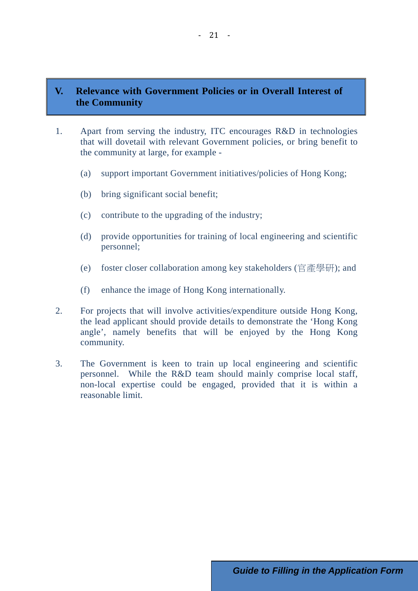### **V. Relevance with Government Policies or in Overall Interest of the Community**

- 1. Apart from serving the industry, ITC encourages R&D in technologies that will dovetail with relevant Government policies, or bring benefit to the community at large, for example -
	- (a) support important Government initiatives/policies of Hong Kong;
	- (b) bring significant social benefit;
	- (c) contribute to the upgrading of the industry;
	- (d) provide opportunities for training of local engineering and scientific personnel;
	- (e) foster closer collaboration among key stakeholders (官產學研); and
	- (f) enhance the image of Hong Kong internationally.
- 2. For projects that will involve activities/expenditure outside Hong Kong, the lead applicant should provide details to demonstrate the 'Hong Kong angle', namely benefits that will be enjoyed by the Hong Kong community.
- 3. The Government is keen to train up local engineering and scientific personnel. While the R&D team should mainly comprise local staff, non-local expertise could be engaged, provided that it is within a reasonable limit.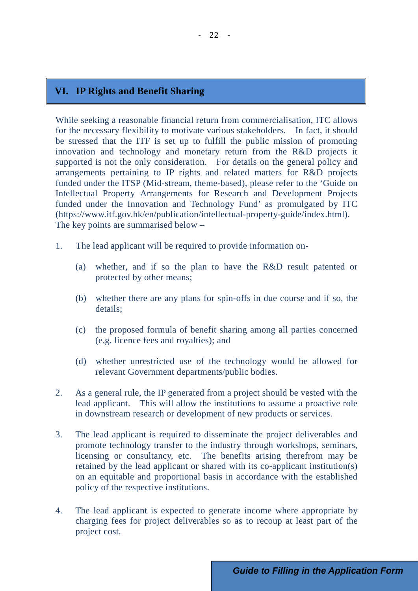### **VI. IP Rights and Benefit Sharing**

While seeking a reasonable financial return from commercialisation, ITC allows for the necessary flexibility to motivate various stakeholders. In fact, it should be stressed that the ITF is set up to fulfill the public mission of promoting innovation and technology and monetary return from the R&D projects it supported is not the only consideration. For details on the general policy and arrangements pertaining to IP rights and related matters for R&D projects funded under the ITSP (Mid-stream, theme-based), please refer to the 'Guide on Intellectual Property Arrangements for Research and Development Projects funded under the Innovation and Technology Fund' as promulgated by ITC (https://www.itf.gov.hk/en/publication/intellectual-property-guide/index.html). The key points are summarised below –

- 1. The lead applicant will be required to provide information on-
	- (a) whether, and if so the plan to have the R&D result patented or protected by other means;
	- (b) whether there are any plans for spin-offs in due course and if so, the details;
	- (c) the proposed formula of benefit sharing among all parties concerned (e.g. licence fees and royalties); and
	- (d) whether unrestricted use of the technology would be allowed for relevant Government departments/public bodies.
- 2. As a general rule, the IP generated from a project should be vested with the lead applicant. This will allow the institutions to assume a proactive role in downstream research or development of new products or services.
- 3. The lead applicant is required to disseminate the project deliverables and promote technology transfer to the industry through workshops, seminars, licensing or consultancy, etc. The benefits arising therefrom may be retained by the lead applicant or shared with its co-applicant institution(s) on an equitable and proportional basis in accordance with the established policy of the respective institutions.
- 4. The lead applicant is expected to generate income where appropriate by charging fees for project deliverables so as to recoup at least part of the project cost.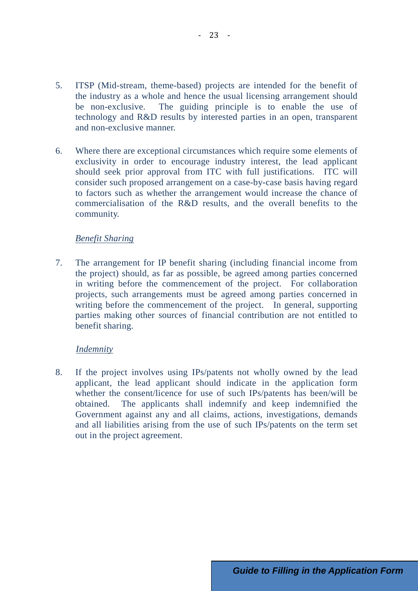- 5. ITSP (Mid-stream, theme-based) projects are intended for the benefit of the industry as a whole and hence the usual licensing arrangement should be non-exclusive. The guiding principle is to enable the use of technology and R&D results by interested parties in an open, transparent and non-exclusive manner.
- 6. Where there are exceptional circumstances which require some elements of exclusivity in order to encourage industry interest, the lead applicant should seek prior approval from ITC with full justifications. ITC will consider such proposed arrangement on a case-by-case basis having regard to factors such as whether the arrangement would increase the chance of commercialisation of the R&D results, and the overall benefits to the community.

#### *Benefit Sharing*

7. The arrangement for IP benefit sharing (including financial income from the project) should, as far as possible, be agreed among parties concerned in writing before the commencement of the project. For collaboration projects, such arrangements must be agreed among parties concerned in writing before the commencement of the project. In general, supporting parties making other sources of financial contribution are not entitled to benefit sharing.

#### *Indemnity*

8. If the project involves using IPs/patents not wholly owned by the lead applicant, the lead applicant should indicate in the application form whether the consent/licence for use of such IPs/patents has been/will be obtained. The applicants shall indemnify and keep indemnified the Government against any and all claims, actions, investigations, demands and all liabilities arising from the use of such IPs/patents on the term set out in the project agreement.